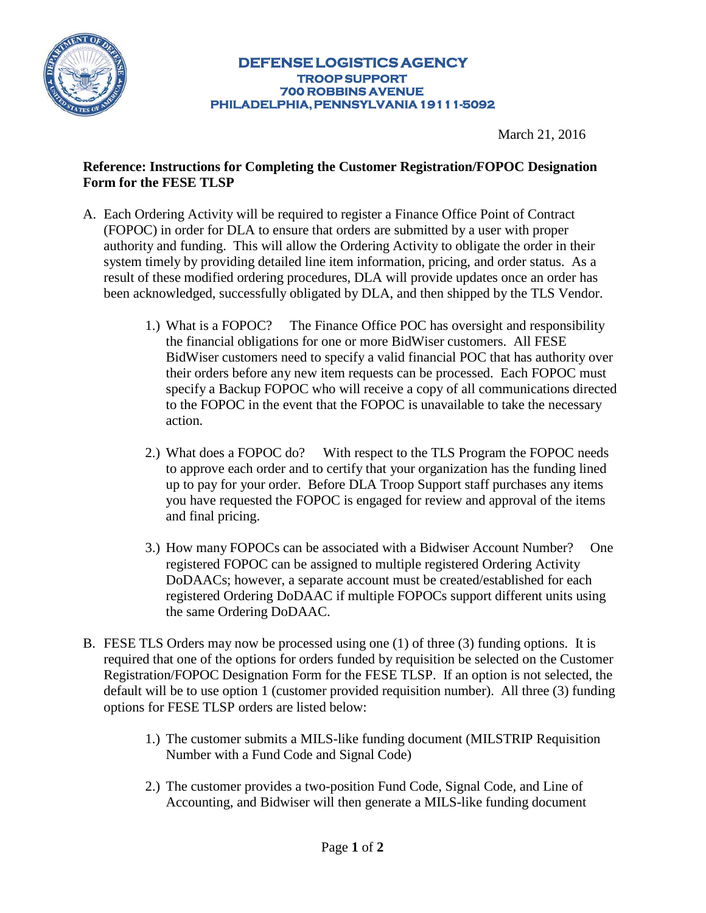

## **DEFENSE LOGISTICS AGENCY TROOP SUPPORT 700 ROBBINS AVENUE PHILADELPHIA, PENNSYLVANIA 19111-5092**

March 21, 2016

## **Reference: Instructions for Completing the Customer Registration/FOPOC Designation Form for the FESE TLSP**

- A. Each Ordering Activity will be required to register a Finance Office Point of Contract (FOPOC) in order for DLA to ensure that orders are submitted by a user with proper authority and funding. This will allow the Ordering Activity to obligate the order in their system timely by providing detailed line item information, pricing, and order status. As a result of these modified ordering procedures, DLA will provide updates once an order has been acknowledged, successfully obligated by DLA, and then shipped by the TLS Vendor.
	- 1.) What is a FOPOC? The Finance Office POC has oversight and responsibility the financial obligations for one or more BidWiser customers. All FESE BidWiser customers need to specify a valid financial POC that has authority over their orders before any new item requests can be processed. Each FOPOC must specify a Backup FOPOC who will receive a copy of all communications directed to the FOPOC in the event that the FOPOC is unavailable to take the necessary action.
	- 2.) What does a FOPOC do? With respect to the TLS Program the FOPOC needs to approve each order and to certify that your organization has the funding lined up to pay for your order. Before DLA Troop Support staff purchases any items you have requested the FOPOC is engaged for review and approval of the items and final pricing.
	- 3.) How many FOPOCs can be associated with a Bidwiser Account Number? One registered FOPOC can be assigned to multiple registered Ordering Activity DoDAACs; however, a separate account must be created/established for each registered Ordering DoDAAC if multiple FOPOCs support different units using the same Ordering DoDAAC.
- B. FESE TLS Orders may now be processed using one (1) of three (3) funding options. It is required that one of the options for orders funded by requisition be selected on the Customer Registration/FOPOC Designation Form for the FESE TLSP. If an option is not selected, the default will be to use option 1 (customer provided requisition number). All three (3) funding options for FESE TLSP orders are listed below:
	- 1.) The customer submits a MILS-like funding document (MILSTRIP Requisition Number with a Fund Code and Signal Code)
	- 2.) The customer provides a two-position Fund Code, Signal Code, and Line of Accounting, and Bidwiser will then generate a MILS-like funding document